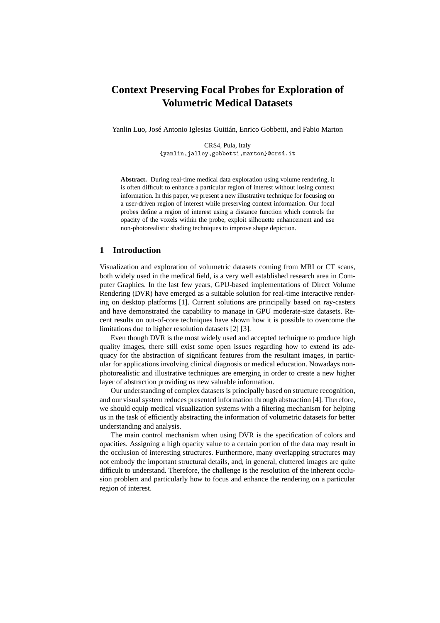# **Context Preserving Focal Probes for Exploration of Volumetric Medical Datasets**

Yanlin Luo, José Antonio Iglesias Guitián, Enrico Gobbetti, and Fabio Marton

CRS4, Pula, Italy {yanlin,jalley,gobbetti,marton}@crs4.it

**Abstract.** During real-time medical data exploration using volume rendering, it is often difficult to enhance a particular region of interest without losing context information. In this paper, we present a new illustrative technique for focusing on a user-driven region of interest while preserving context information. Our focal probes define a region of interest using a distance function which controls the opacity of the voxels within the probe, exploit silhouette enhancement and use non-photorealistic shading techniques to improve shape depiction.

### **1 Introduction**

Visualization and exploration of volumetric datasets coming from MRI or CT scans, both widely used in the medical field, is a very well established research area in Computer Graphics. In the last few years, GPU-based implementations of Direct Volume Rendering (DVR) have emerged as a suitable solution for real-time interactive rendering on desktop platforms [1]. Current solutions are principally based on ray-casters and have demonstrated the capability to manage in GPU moderate-size datasets. Recent results on out-of-core techniques have shown how it is possible to overcome the limitations due to higher resolution datasets [2] [3].

Even though DVR is the most widely used and accepted technique to produce high quality images, there still exist some open issues regarding how to extend its adequacy for the abstraction of significant features from the resultant images, in particular for applications involving clinical diagnosis or medical education. Nowadays nonphotorealistic and illustrative techniques are emerging in order to create a new higher layer of abstraction providing us new valuable information.

Our understanding of complex datasets is principally based on structure recognition, and our visual system reduces presented information through abstraction [4]. Therefore, we should equip medical visualization systems with a filtering mechanism for helping us in the task of efficiently abstracting the information of volumetric datasets for better understanding and analysis.

The main control mechanism when using DVR is the specification of colors and opacities. Assigning a high opacity value to a certain portion of the data may result in the occlusion of interesting structures. Furthermore, many overlapping structures may not embody the important structural details, and, in general, cluttered images are quite difficult to understand. Therefore, the challenge is the resolution of the inherent occlusion problem and particularly how to focus and enhance the rendering on a particular region of interest.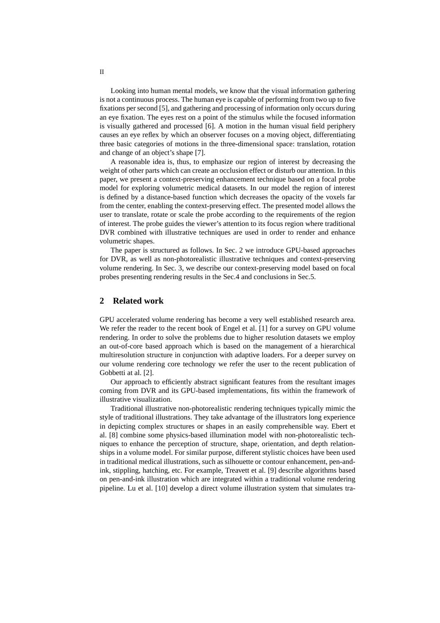Looking into human mental models, we know that the visual information gathering is not a continuous process. The human eye is capable of performing from two up to five fixations per second [5], and gathering and processing of information only occurs during an eye fixation. The eyes rest on a point of the stimulus while the focused information is visually gathered and processed [6]. A motion in the human visual field periphery causes an eye reflex by which an observer focuses on a moving object, differentiating three basic categories of motions in the three-dimensional space: translation, rotation and change of an object's shape [7].

A reasonable idea is, thus, to emphasize our region of interest by decreasing the weight of other parts which can create an occlusion effect or disturb our attention. In this paper, we present a context-preserving enhancement technique based on a focal probe model for exploring volumetric medical datasets. In our model the region of interest is defined by a distance-based function which decreases the opacity of the voxels far from the center, enabling the context-preserving effect. The presented model allows the user to translate, rotate or scale the probe according to the requirements of the region of interest. The probe guides the viewer's attention to its focus region where traditional DVR combined with illustrative techniques are used in order to render and enhance volumetric shapes.

The paper is structured as follows. In Sec. 2 we introduce GPU-based approaches for DVR, as well as non-photorealistic illustrative techniques and context-preserving volume rendering. In Sec. 3, we describe our context-preserving model based on focal probes presenting rendering results in the Sec.4 and conclusions in Sec.5.

#### **2 Related work**

GPU accelerated volume rendering has become a very well established research area. We refer the reader to the recent book of Engel et al. [1] for a survey on GPU volume rendering. In order to solve the problems due to higher resolution datasets we employ an out-of-core based approach which is based on the management of a hierarchical multiresolution structure in conjunction with adaptive loaders. For a deeper survey on our volume rendering core technology we refer the user to the recent publication of Gobbetti at al. [2].

Our approach to efficiently abstract significant features from the resultant images coming from DVR and its GPU-based implementations, fits within the framework of illustrative visualization.

Traditional illustrative non-photorealistic rendering techniques typically mimic the style of traditional illustrations. They take advantage of the illustrators long experience in depicting complex structures or shapes in an easily comprehensible way. Ebert et al. [8] combine some physics-based illumination model with non-photorealistic techniques to enhance the perception of structure, shape, orientation, and depth relationships in a volume model. For similar purpose, different stylistic choices have been used in traditional medical illustrations, such as silhouette or contour enhancement, pen-andink, stippling, hatching, etc. For example, Treavett et al. [9] describe algorithms based on pen-and-ink illustration which are integrated within a traditional volume rendering pipeline. Lu et al. [10] develop a direct volume illustration system that simulates tra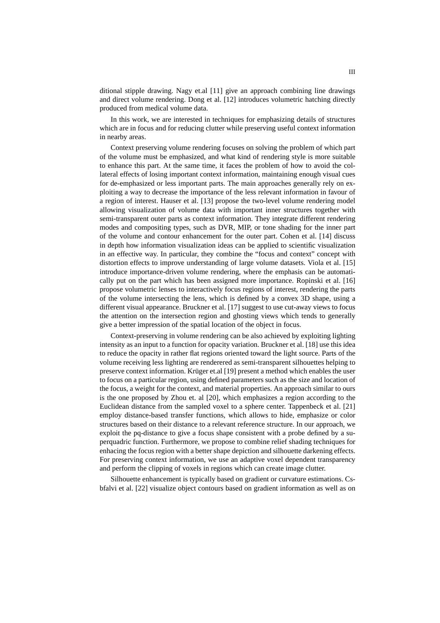ditional stipple drawing. Nagy et.al [11] give an approach combining line drawings and direct volume rendering. Dong et al. [12] introduces volumetric hatching directly produced from medical volume data.

In this work, we are interested in techniques for emphasizing details of structures which are in focus and for reducing clutter while preserving useful context information in nearby areas.

Context preserving volume rendering focuses on solving the problem of which part of the volume must be emphasized, and what kind of rendering style is more suitable to enhance this part. At the same time, it faces the problem of how to avoid the collateral effects of losing important context information, maintaining enough visual cues for de-emphasized or less important parts. The main approaches generally rely on exploiting a way to decrease the importance of the less relevant information in favour of a region of interest. Hauser et al. [13] propose the two-level volume rendering model allowing visualization of volume data with important inner structures together with semi-transparent outer parts as context information. They integrate different rendering modes and compositing types, such as DVR, MIP, or tone shading for the inner part of the volume and contour enhancement for the outer part. Cohen et al. [14] discuss in depth how information visualization ideas can be applied to scientific visualization in an effective way. In particular, they combine the "focus and context" concept with distortion effects to improve understanding of large volume datasets. Viola et al. [15] introduce importance-driven volume rendering, where the emphasis can be automatically put on the part which has been assigned more importance. Ropinski et al. [16] propose volumetric lenses to interactively focus regions of interest, rendering the parts of the volume intersecting the lens, which is defined by a convex 3D shape, using a different visual appearance. Bruckner et al. [17] suggest to use cut-away views to focus the attention on the intersection region and ghosting views which tends to generally give a better impression of the spatial location of the object in focus.

Context-preserving in volume rendering can be also achieved by exploiting lighting intensity as an input to a function for opacity variation. Bruckner et al. [18] use this idea to reduce the opacity in rather flat regions oriented toward the light source. Parts of the volume receiving less lighting are renderered as semi-transparent silhouettes helping to preserve context information. Krüger et.al [19] present a method which enables the user to focus on a particular region, using defined parameters such as the size and location of the focus, a weight for the context, and material properties. An approach similar to ours is the one proposed by Zhou et. al [20], which emphasizes a region according to the Euclidean distance from the sampled voxel to a sphere center. Tappenbeck et al. [21] employ distance-based transfer functions, which allows to hide, emphasize or color structures based on their distance to a relevant reference structure. In our approach, we exploit the pq-distance to give a focus shape consistent with a probe defined by a superquadric function. Furthermore, we propose to combine relief shading techniques for enhacing the focus region with a better shape depiction and silhouette darkening effects. For preserving context information, we use an adaptive voxel dependent transparency and perform the clipping of voxels in regions which can create image clutter.

Silhouette enhancement is typically based on gradient or curvature estimations. Csbfalvi et al. [22] visualize object contours based on gradient information as well as on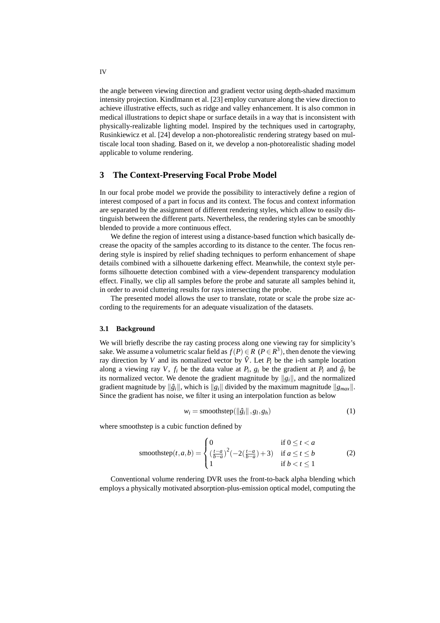the angle between viewing direction and gradient vector using depth-shaded maximum intensity projection. Kindlmann et al. [23] employ curvature along the view direction to achieve illustrative effects, such as ridge and valley enhancement. It is also common in medical illustrations to depict shape or surface details in a way that is inconsistent with physically-realizable lighting model. Inspired by the techniques used in cartography, Rusinkiewicz et al. [24] develop a non-photorealistic rendering strategy based on multiscale local toon shading. Based on it, we develop a non-photorealistic shading model applicable to volume rendering.

## **3 The Context-Preserving Focal Probe Model**

In our focal probe model we provide the possibility to interactively define a region of interest composed of a part in focus and its context. The focus and context information are separated by the assignment of different rendering styles, which allow to easily distinguish between the different parts. Nevertheless, the rendering styles can be smoothly blended to provide a more continuous effect.

We define the region of interest using a distance-based function which basically decrease the opacity of the samples according to its distance to the center. The focus rendering style is inspired by relief shading techniques to perform enhancement of shape details combined with a silhouette darkening effect. Meanwhile, the context style performs silhouette detection combined with a view-dependent transparency modulation effect. Finally, we clip all samples before the probe and saturate all samples behind it, in order to avoid cluttering results for rays intersecting the probe.

The presented model allows the user to translate, rotate or scale the probe size according to the requirements for an adequate visualization of the datasets.

#### **3.1 Background**

We will briefly describe the ray casting process along one viewing ray for simplicity's sake. We assume a volumetric scalar field as  $f(P) \in R$  ( $P \in R^3$ ), then denote the viewing ray direction by *V* and its nomalized vector by  $\hat{V}$ . Let  $P_i$  be the i-th sample location along a viewing ray *V*,  $f_i$  be the data value at  $P_i$ ,  $g_i$  be the gradient at  $P_i$  and  $\hat{g}_i$  be its normalized vector. We denote the gradient magnitude by  $\|g_i\|$ , and the normalized gradient magnitude by  $\|\hat{g}_i\|$ , which is  $\|g_i\|$  divided by the maximum magnitude  $\|g_{max}\|$ . Since the gradient has noise, we filter it using an interpolation function as below

$$
w_i = \text{smoothstep}(\|\hat{g}_i\|, g_l, g_h) \tag{1}
$$

where smoothstep is a cubic function defined by

smoothstep
$$
(t, a, b)
$$
 = 
$$
\begin{cases} 0 & \text{if } 0 \le t < a \\ \left(\frac{t-a}{b-a}\right)^2 \left(-2\left(\frac{t-a}{b-a}\right) + 3\right) & \text{if } a \le t \le b \\ 1 & \text{if } b < t \le 1 \end{cases}
$$
 (2)

Conventional volume rendering DVR uses the front-to-back alpha blending which employs a physically motivated absorption-plus-emission optical model, computing the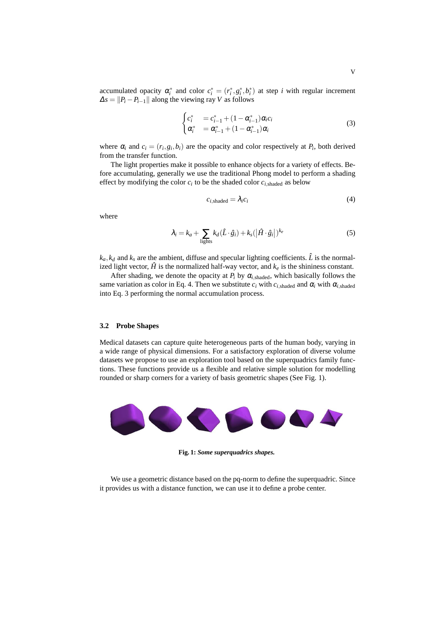accumulated opacity  $\alpha_i^*$  and color  $c_i^* = (r_i^*, g_i^*, b_i^*)$  at step *i* with regular increment  $\Delta s = ||P_i - P_{i-1}||$  along the viewing ray *V* as follows

$$
\begin{cases} c_i^* &= c_{i-1}^* + (1 - \alpha_{i-1}^*)\alpha_i c_i \\ \alpha_i^* &= \alpha_{i-1}^* + (1 - \alpha_{i-1}^*)\alpha_i \end{cases} \tag{3}
$$

where  $\alpha_i$  and  $c_i = (r_i, g_i, b_i)$  are the opacity and color respectively at  $P_i$ , both derived from the transfer function.

The light properties make it possible to enhance objects for a variety of effects. Before accumulating, generally we use the traditional Phong model to perform a shading effect by modifying the color  $c_i$  to be the shaded color  $c_{i,shaded}$  as below

$$
c_{i, \text{shaded}} = \lambda_i c_i \tag{4}
$$

where

$$
\lambda_i = k_a + \sum_{\text{lights}} k_d (\hat{L} \cdot \hat{g}_i) + k_s (|\hat{H} \cdot \hat{g}_i|)^{k_e}
$$
 (5)

 $k_a, k_d$  and  $k_s$  are the ambient, diffuse and specular lighting coefficients.  $\hat{L}$  is the normalized light vector,  $\hat{H}$  is the normalized half-way vector, and  $k_e$  is the shininess constant.

After shading, we denote the opacity at  $P_i$  by  $\alpha_{i,shaded}$ , which basically follows the same variation as color in Eq. 4. Then we substitute  $c_i$  with  $c_{i,shaded}$  and  $\alpha_i$  with  $\alpha_{i,shaded}$ into Eq. 3 performing the normal accumulation process.

#### **3.2 Probe Shapes**

Medical datasets can capture quite heterogeneous parts of the human body, varying in a wide range of physical dimensions. For a satisfactory exploration of diverse volume datasets we propose to use an exploration tool based on the superquadrics family functions. These functions provide us a flexible and relative simple solution for modelling rounded or sharp corners for a variety of basis geometric shapes (See Fig. 1).



**Fig. 1:** *Some superquadrics shapes.*

We use a geometric distance based on the pq-norm to define the superquadric. Since it provides us with a distance function, we can use it to define a probe center.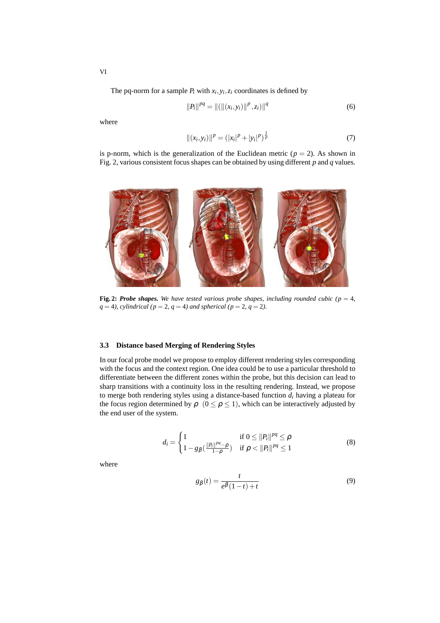The pq-norm for a sample  $P_i$  with  $x_i, y_i, z_i$  coordinates is defined by

$$
||P_i||^{pq} = ||(||(x_i, y_i)||^p, z_i)||^q
$$
\n(6)

where

$$
||(x_i, y_i)||^p = (|x_i|^p + |y_i|^p)^{\frac{1}{p}}
$$
\n(7)

is p-norm, which is the generalization of the Euclidean metric  $(p = 2)$ . As shown in Fig. 2, various consistent focus shapes can be obtained by using different *p* and *q* values.



**Fig. 2: Probe shapes.** We have tested various probe shapes, including rounded cubic ( $p = 4$ , *q* = 4*), cylindrical (* $p = 2$ *,*  $q = 4$ *) and spherical (* $p = 2$ *,*  $q = 2$ *).* 

#### **3.3 Distance based Merging of Rendering Styles**

In our focal probe model we propose to employ different rendering styles corresponding with the focus and the context region. One idea could be to use a particular threshold to differentiate between the different zones within the probe, but this decision can lead to sharp transitions with a continuity loss in the resulting rendering. Instead, we propose to merge both rendering styles using a distance-based function *d<sup>i</sup>* having a plateau for the focus region determined by  $\rho$  ( $0 \le \rho \le 1$ ), which can be interactively adjusted by the end user of the system.

$$
d_i = \begin{cases} 1 & \text{if } 0 \leq ||P_i||^{pq} \leq \rho \\ 1 - g_\beta\left(\frac{||P_i||^{pq} - \rho}{1 - \rho}\right) & \text{if } \rho < ||P_i||^{pq} \leq 1 \end{cases} \tag{8}
$$

where

$$
g_{\beta}(t) = \frac{t}{e^{\beta}(1-t) + t} \tag{9}
$$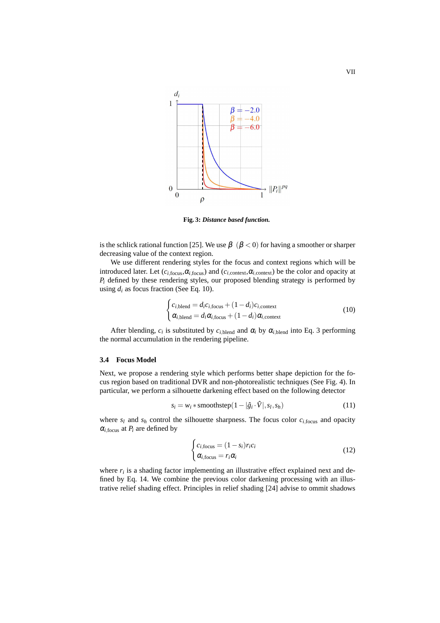

**Fig. 3:** *Distance based function.*

is the schlick rational function [25]. We use  $\beta$  ( $\beta$  < 0) for having a smoother or sharper decreasing value of the context region.

We use different rendering styles for the focus and context regions which will be introduced later. Let  $(c_{i,\text{focus}}, \alpha_{i,\text{focus}})$  and  $(c_{i,\text{context}}, \alpha_{i,\text{context}})$  be the color and opacity at  $P_i$  defined by these rendering styles, our proposed blending strategy is performed by using  $d_i$  as focus fraction (See Eq. 10).

$$
\begin{cases}\nc_{i,\text{blend}} = d_i c_{i,\text{focus}} + (1 - d_i) c_{i,\text{context}} \\
\alpha_{i,\text{blend}} = d_i \alpha_{i,\text{focus}} + (1 - d_i) \alpha_{i,\text{context}}\n\end{cases}
$$
\n(10)

After blending,  $c_i$  is substituted by  $c_{i,\text{blend}}$  and  $\alpha_i$  by  $\alpha_{i,\text{blend}}$  into Eq. 3 performing the normal accumulation in the rendering pipeline.

#### **3.4 Focus Model**

Next, we propose a rendering style which performs better shape depiction for the focus region based on traditional DVR and non-photorealistic techniques (See Fig. 4). In particular, we perform a silhouette darkening effect based on the following detector

$$
s_i = w_i * \text{smoothstep}(1 - |\hat{g}_i \cdot \hat{V}|, s_i, s_h)
$$
\n(11)

where  $s_l$  and  $s_h$  control the silhouette sharpness. The focus color  $c_{i,\text{focus}}$  and opacity  $\alpha$ <sup>*i*</sup>, focus at  $P$ <sup>*i*</sup> are defined by

$$
\begin{cases} c_{i,\text{focus}} = (1 - s_i)r_ic_i\\ \alpha_{i,\text{focus}} = r_i\alpha_i \end{cases} \tag{12}
$$

where  $r_i$  is a shading factor implementing an illustrative effect explained next and defined by Eq. 14. We combine the previous color darkening processing with an illustrative relief shading effect. Principles in relief shading [24] advise to ommit shadows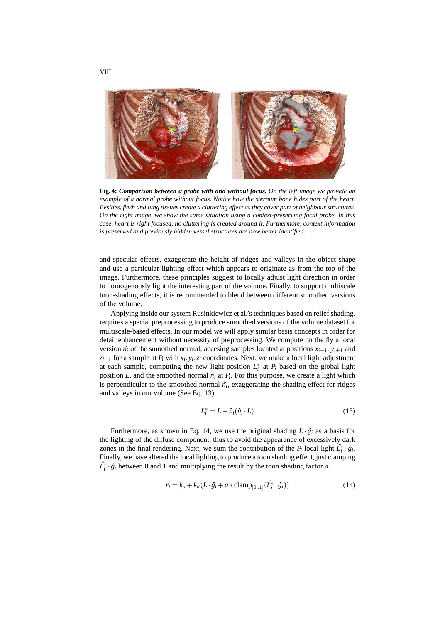

**Fig. 4:** *Comparison between a probe with and without focus. On the left image we provide an example of a normal probe without focus. Notice how the sternum bone hides part of the heart. Besides, flesh and lung tissues create a cluttering effect as they cover part of neighbour structures. On the right image, we show the same situation using a context-preserving focal probe. In this case, heart is right focused, no cluttering is created around it. Furthermore, context information is preserved and previously hidden vessel structures are now better identified.*

and specular effects, exaggerate the height of ridges and valleys in the object shape and use a particular lighting effect which appears to originate as from the top of the image. Furthermore, these principles suggest to locally adjust light direction in order to homogenously light the interesting part of the volume. Finally, to support multiscale toon-shading effects, it is recommended to blend between different smoothed versions of the volume.

Applying inside our system Rusinkiewicz et al.'s techniques based on relief shading, requires a special preprocessing to produce smoothed versions of the volume dataset for multiscale-based effects. In our model we will apply similar basis concepts in order for detail enhancement without necessity of preprocessing. We compute on the fly a local version  $\hat{n}_i$  of the smoothed normal, accesing samples located at positions  $x_{i\pm 1}$ ,  $y_{i\pm 1}$  and  $z_{i\pm1}$  for a sample at  $P_i$  with  $x_i, y_i, z_i$  coordinates. Next, we make a local light adjustment at each sample, computing the new light position  $L_i^*$  at  $P_i$  based on the global light position *L*, and the smoothed normal  $\hat{n}_i$  at  $P_i$ . For this purpose, we create a light which is perpendicular to the smoothed normal  $\hat{n_i}$ , exaggerating the shading effect for ridges and valleys in our volume (See Eq. 13).

$$
L_i^* = L - \hat{n}_i(\hat{n}_i \cdot L) \tag{13}
$$

Furthermore, as shown in Eq. 14, we use the original shading  $\hat{L} \cdot \hat{g}_i$  as a basis for the lighting of the diffuse component, thus to avoid the appearance of excessively dark zones in the final rendering. Next, we sum the contribution of the  $P_i$  local light  $\hat{L}_i^* \cdot \hat{g}_i$ . Finally, we have altered the local lighting to produce a toon shading effect, just clamping  $\hat{L}_i^* \cdot \hat{g}_i$  between 0 and 1 and multiplying the result by the toon shading factor *a*.

$$
r_i = k_a + k_d (\hat{L} \cdot \hat{g}_i + a * \text{clamp}_{[0..1]}(\hat{L}_i^* \cdot \hat{g}_i))
$$
(14)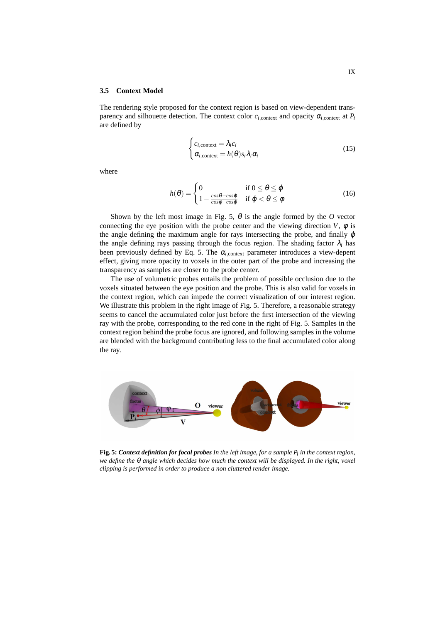#### **3.5 Context Model**

The rendering style proposed for the context region is based on view-dependent transparency and silhouette detection. The context color  $c_{i, \text{context}}$  and opacity  $\alpha_{i, \text{context}}$  at  $P_i$ are defined by

$$
\begin{cases} c_{i,\text{context}} = \lambda_i c_i \\ \alpha_{i,\text{context}} = h(\theta) s_i \lambda_i \alpha_i \end{cases}
$$
 (15)

where

$$
h(\theta) = \begin{cases} 0 & \text{if } 0 \le \theta \le \varphi \\ 1 - \frac{\cos \theta - \cos \varphi}{\cos \phi - \cos \varphi} & \text{if } \varphi < \theta \le \varphi \end{cases}
$$
(16)

Shown by the left most image in Fig. 5,  $\theta$  is the angle formed by the *O* vector connecting the eye position with the probe center and the viewing direction  $V$ ,  $\phi$  is the angle defining the maximum angle for rays intersecting the probe, and finally  $\varphi$ the angle defining rays passing through the focus region. The shading factor  $\lambda_i$  has been previously defined by Eq. 5. The  $\alpha_{i, \text{context}}$  parameter introduces a view-depent effect, giving more opacity to voxels in the outer part of the probe and increasing the transparency as samples are closer to the probe center.

The use of volumetric probes entails the problem of possible occlusion due to the voxels situated between the eye position and the probe. This is also valid for voxels in the context region, which can impede the correct visualization of our interest region. We illustrate this problem in the right image of Fig. 5. Therefore, a reasonable strategy seems to cancel the accumulated color just before the first intersection of the viewing ray with the probe, corresponding to the red cone in the right of Fig. 5. Samples in the context region behind the probe focus are ignored, and following samples in the volume are blended with the background contributing less to the final accumulated color along the ray.



**Fig. 5:** *Context definition for focal probes In the left image, for a sample P<sup>i</sup> in the context region, we define the* θ *angle which decides how much the context will be displayed. In the right, voxel clipping is performed in order to produce a non cluttered render image.*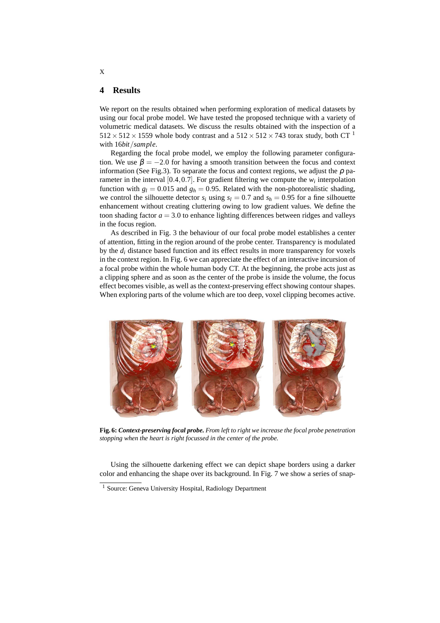### **4 Results**

We report on the results obtained when performing exploration of medical datasets by using our focal probe model. We have tested the proposed technique with a variety of volumetric medical datasets. We discuss the results obtained with the inspection of a  $512 \times 512 \times 1559$  whole body contrast and a  $512 \times 512 \times 743$  torax study, both CT<sup>1</sup> with 16*bit*/*sample*.

Regarding the focal probe model, we employ the following parameter configuration. We use  $\beta = -2.0$  for having a smooth transition between the focus and context information (See Fig.3). To separate the focus and context regions, we adjust the  $\rho$  parameter in the interval  $[0.4, 0.7]$ . For gradient filtering we compute the  $w_i$  interpolation function with  $g_l = 0.015$  and  $g_h = 0.95$ . Related with the non-photorealistic shading, we control the silhouette detector  $s_i$  using  $s_l = 0.7$  and  $s_h = 0.95$  for a fine silhouette enhancement without creating cluttering owing to low gradient values. We define the toon shading factor  $a = 3.0$  to enhance lighting differences between ridges and valleys in the focus region.

As described in Fig. 3 the behaviour of our focal probe model establishes a center of attention, fitting in the region around of the probe center. Transparency is modulated by the *d<sup>i</sup>* distance based function and its effect results in more transparency for voxels in the context region. In Fig. 6 we can appreciate the effect of an interactive incursion of a focal probe within the whole human body CT. At the beginning, the probe acts just as a clipping sphere and as soon as the center of the probe is inside the volume, the focus effect becomes visible, as well as the context-preserving effect showing contour shapes. When exploring parts of the volume which are too deep, voxel clipping becomes active.



**Fig. 6:** *Context-preserving focal probe. From left to right we increase the focal probe penetration stopping when the heart is right focussed in the center of the probe.*

Using the silhouette darkening effect we can depict shape borders using a darker color and enhancing the shape over its background. In Fig. 7 we show a series of snap-

X

<sup>&</sup>lt;sup>1</sup> Source: Geneva University Hospital, Radiology Department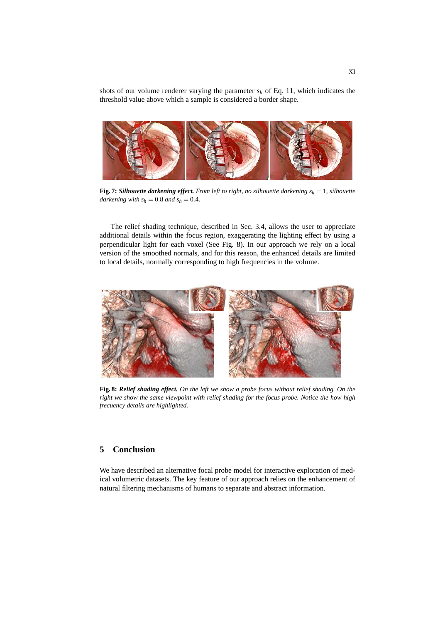shots of our volume renderer varying the parameter  $s_h$  of Eq. 11, which indicates the threshold value above which a sample is considered a border shape.



**Fig. 7:** *Silhouette darkening effect. From left to right, no silhouette darkening*  $s_h = 1$ *, silhouette darkening with*  $s_h = 0.8$  *and*  $s_h = 0.4$ *.* 

The relief shading technique, described in Sec. 3.4, allows the user to appreciate additional details within the focus region, exaggerating the lighting effect by using a perpendicular light for each voxel (See Fig. 8). In our approach we rely on a local version of the smoothed normals, and for this reason, the enhanced details are limited to local details, normally corresponding to high frequencies in the volume.



**Fig. 8:** *Relief shading effect. On the left we show a probe focus without relief shading. On the right we show the same viewpoint with relief shading for the focus probe. Notice the how high frecuency details are highlighted.*

## **5 Conclusion**

We have described an alternative focal probe model for interactive exploration of medical volumetric datasets. The key feature of our approach relies on the enhancement of natural filtering mechanisms of humans to separate and abstract information.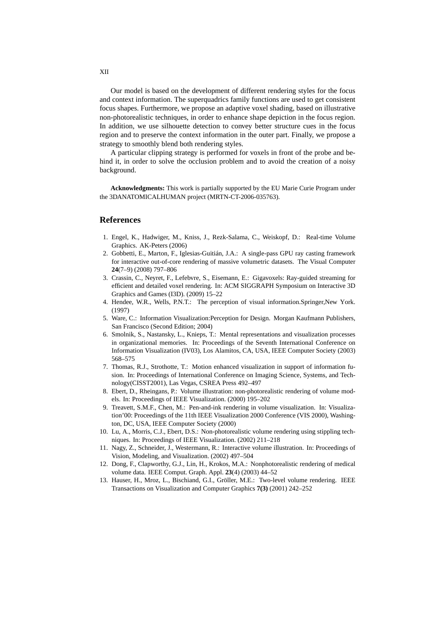Our model is based on the development of different rendering styles for the focus and context information. The superquadrics family functions are used to get consistent focus shapes. Furthermore, we propose an adaptive voxel shading, based on illustrative non-photorealistic techniques, in order to enhance shape depiction in the focus region. In addition, we use silhouette detection to convey better structure cues in the focus region and to preserve the context information in the outer part. Finally, we propose a strategy to smoothly blend both rendering styles.

A particular clipping strategy is performed for voxels in front of the probe and behind it, in order to solve the occlusion problem and to avoid the creation of a noisy background.

**Acknowledgments:** This work is partially supported by the EU Marie Curie Program under the 3DANATOMICALHUMAN project (MRTN-CT-2006-035763).

#### **References**

- 1. Engel, K., Hadwiger, M., Kniss, J., Rezk-Salama, C., Weiskopf, D.: Real-time Volume Graphics. AK-Peters (2006)
- 2. Gobbetti, E., Marton, F., Iglesias-Guitián, J.A.: A single-pass GPU ray casting framework for interactive out-of-core rendering of massive volumetric datasets. The Visual Computer **24**(7–9) (2008) 797–806
- 3. Crassin, C., Neyret, F., Lefebvre, S., Eisemann, E.: Gigavoxels: Ray-guided streaming for efficient and detailed voxel rendering. In: ACM SIGGRAPH Symposium on Interactive 3D Graphics and Games (I3D). (2009) 15–22
- 4. Hendee, W.R., Wells, P.N.T.: The perception of visual information.Springer,New York. (1997)
- 5. Ware, C.: Information Visualization:Perception for Design. Morgan Kaufmann Publishers, San Francisco (Second Edition; 2004)
- 6. Smolnik, S., Nastansky, L., Knieps, T.: Mental representations and visualization processes in organizational memories. In: Proceedings of the Seventh International Conference on Information Visualization (IV03), Los Alamitos, CA, USA, IEEE Computer Society (2003) 568–575
- 7. Thomas, R.J., Strothotte, T.: Motion enhanced visualization in support of information fusion. In: Proceedings of International Conference on Imaging Science, Systems, and Technology(CISST2001), Las Vegas, CSREA Press 492–497
- 8. Ebert, D., Rheingans, P.: Volume illustration: non-photorealistic rendering of volume models. In: Proceedings of IEEE Visualization. (2000) 195–202
- 9. Treavett, S.M.F., Chen, M.: Pen-and-ink rendering in volume visualization. In: Visualization'00: Proceedings of the 11th IEEE Visualization 2000 Conference (VIS 2000), Washington, DC, USA, IEEE Computer Society (2000)
- 10. Lu, A., Morris, C.J., Ebert, D.S.: Non-photorealistic volume rendering using stippling techniques. In: Proceedings of IEEE Visualization. (2002) 211–218
- 11. Nagy, Z., Schneider, J., Westermann, R.: Interactive volume illustration. In: Proceedings of Vision, Modeling, and Visualization. (2002) 497–504
- 12. Dong, F., Clapworthy, G.J., Lin, H., Krokos, M.A.: Nonphotorealistic rendering of medical volume data. IEEE Comput. Graph. Appl. **23**(4) (2003) 44–52
- 13. Hauser, H., Mroz, L., Bischiand, G.I., Gröller, M.E.: Two-level volume rendering. IEEE Transactions on Visualization and Computer Graphics **7(3)** (2001) 242–252